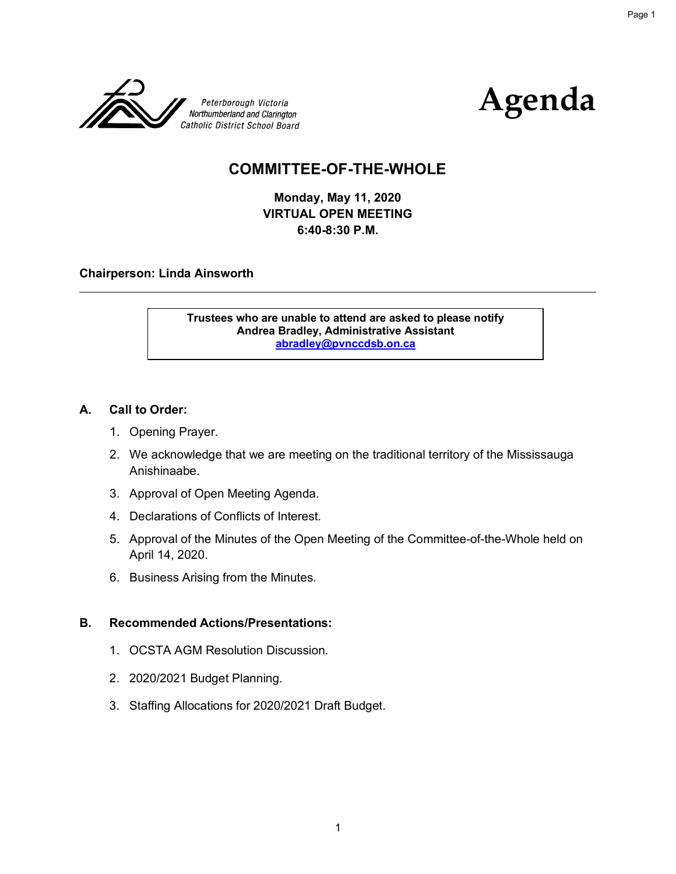



Page 1

## **COMMITTEE-OF-THE-WHOLE**

**Monday, May 11, 2020 VIRTUAL OPEN MEETING 6:40-8:30 P.M.** 

#### **Chairperson: Linda Ainsworth**

**Trustees who are unable to attend are asked to please notify Andrea Bradley, Administrative Assistant abradley@pvnccdsb.on.ca** 

#### **A. Call to Order:**

- 1. Opening Prayer.
- 2. We acknowledge that we are meeting on the traditional territory of the Mississauga Anishinaabe.
- 3. Approval of Open Meeting Agenda.
- 4. Declarations of Conflicts of Interest.
- 5. Approval of the Minutes of the Open Meeting of the Committee-of-the-Whole held on April 14, 2020.
- 6. Business Arising from the Minutes.

#### **B. Recommended Actions/Presentations:**

- 1. OCSTA AGM Resolution Discussion.
- 2. 2020/2021 Budget Planning.
- 3. Staffing Allocations for 2020/2021 Draft Budget.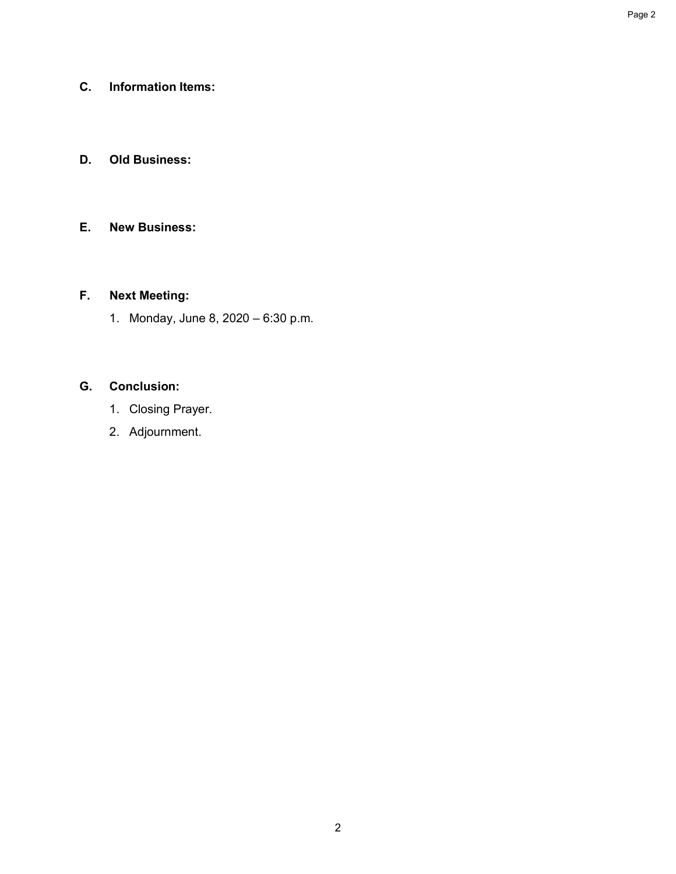## **C. Information Items:**

## **D. Old Business:**

## **E. New Business:**

## **F. Next Meeting:**

1. Monday, June 8, 2020 – 6:30 p.m.

## **G. Conclusion:**

- 1. Closing Prayer.
- 2. Adjournment.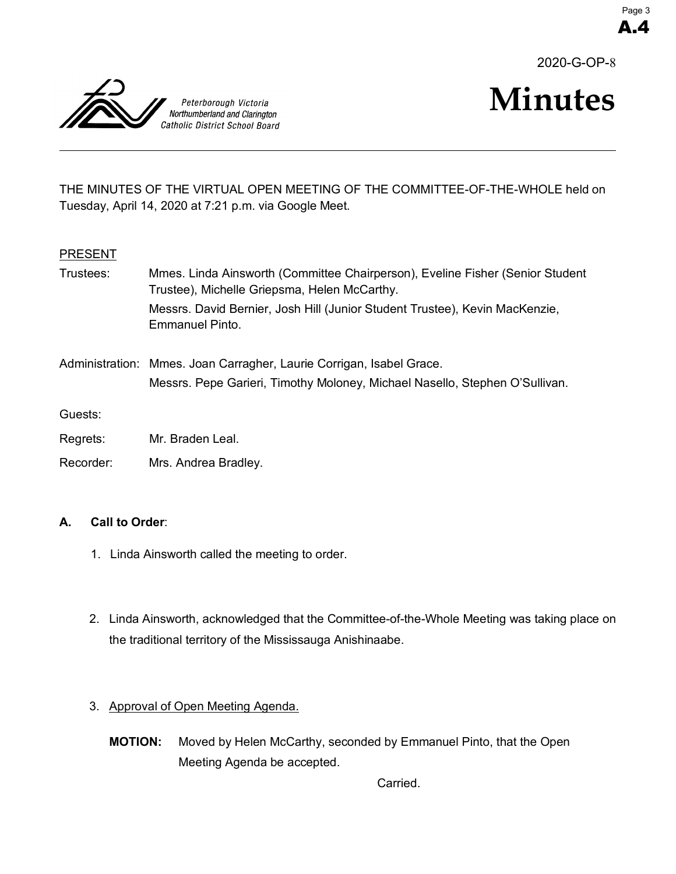2020-G-OP-8



# **Minutes**

THE MINUTES OF THE VIRTUAL OPEN MEETING OF THE COMMITTEE-OF-THE-WHOLE held on Tuesday, April 14, 2020 at 7:21 p.m. via Google Meet.

#### **PRESENT**

| Trustees: | Mmes. Linda Ainsworth (Committee Chairperson), Eveline Fisher (Senior Student<br>Trustee), Michelle Griepsma, Helen McCarthy.                       |
|-----------|-----------------------------------------------------------------------------------------------------------------------------------------------------|
|           | Messrs. David Bernier, Josh Hill (Junior Student Trustee), Kevin MacKenzie,<br>Emmanuel Pinto.                                                      |
|           | Administration: Mmes. Joan Carragher, Laurie Corrigan, Isabel Grace.<br>Messrs. Pepe Garieri, Timothy Moloney, Michael Nasello, Stephen O'Sullivan. |
| Guests:   |                                                                                                                                                     |
| Regrets:  | Mr. Braden Leal.                                                                                                                                    |
| Recorder: | Mrs. Andrea Bradley.                                                                                                                                |

#### **A. Call to Order**:

- 1. Linda Ainsworth called the meeting to order.
- 2. Linda Ainsworth, acknowledged that the Committee-of-the-Whole Meeting was taking place on the traditional territory of the Mississauga Anishinaabe.

## 3. Approval of Open Meeting Agenda.

**MOTION:** Moved by Helen McCarthy, seconded by Emmanuel Pinto, that the Open Meeting Agenda be accepted.

Carried.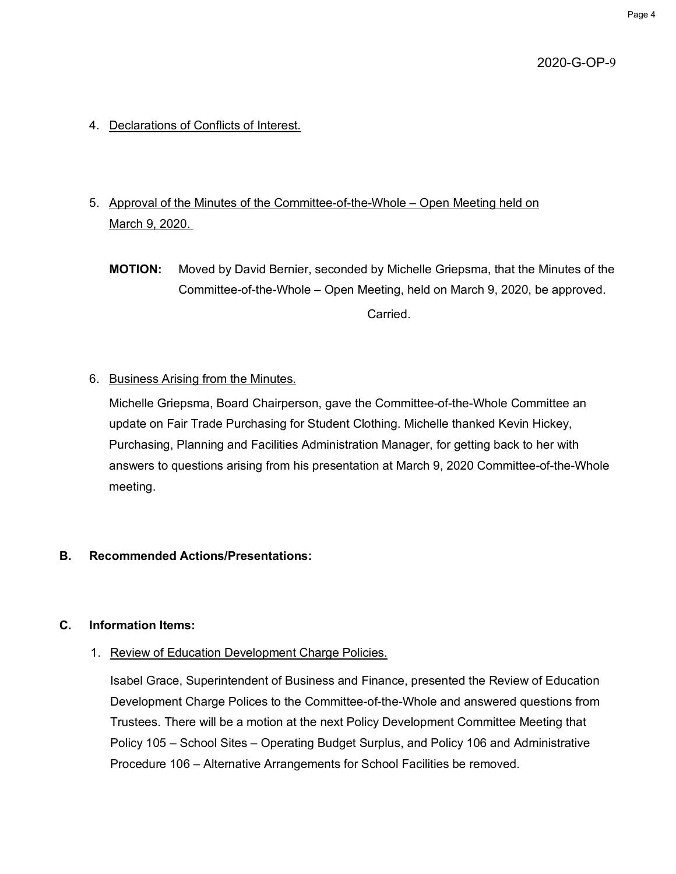- 4. Declarations of Conflicts of Interest.
- 5. Approval of the Minutes of the Committee-of-the-Whole Open Meeting held on March 9, 2020.
	- **MOTION:** Moved by David Bernier, seconded by Michelle Griepsma, that the Minutes of the Committee-of-the-Whole – Open Meeting, held on March 9, 2020, be approved. Carried.
- 6. Business Arising from the Minutes.

Michelle Griepsma, Board Chairperson, gave the Committee-of-the-Whole Committee an update on Fair Trade Purchasing for Student Clothing. Michelle thanked Kevin Hickey, Purchasing, Planning and Facilities Administration Manager, for getting back to her with answers to questions arising from his presentation at March 9, 2020 Committee-of-the-Whole meeting.

## **B. Recommended Actions/Presentations:**

#### **C. Information Items:**

1. Review of Education Development Charge Policies.

Isabel Grace, Superintendent of Business and Finance, presented the Review of Education Development Charge Polices to the Committee-of-the-Whole and answered questions from Trustees. There will be a motion at the next Policy Development Committee Meeting that Policy 105 – School Sites – Operating Budget Surplus, and Policy 106 and Administrative Procedure 106 – Alternative Arrangements for School Facilities be removed.